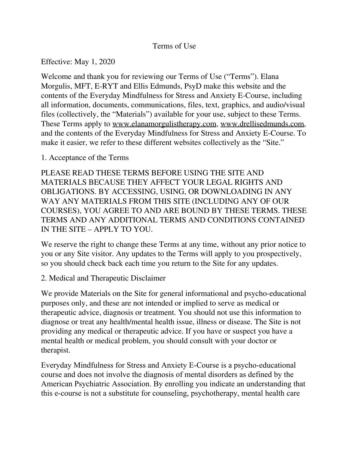## Terms of Use

Effective: May 1, 2020

Welcome and thank you for reviewing our Terms of Use ("Terms"). Elana Morgulis, MFT, E-RYT and Ellis Edmunds, PsyD make this website and the contents of the Everyday Mindfulness for Stress and Anxiety E-Course, including all information, documents, communications, files, text, graphics, and audio/visual files (collectively, the "Materials") available for your use, subject to these Terms. These Terms apply to [www.elanamorgulistherapy.com,](http://www.elanamorgulistherapy.com/) [www.drellisedmunds.com,](http://www.drellisedmunds.com/) and the contents of the Everyday Mindfulness for Stress and Anxiety E-Course. To make it easier, we refer to these different websites collectively as the "Site."

1. Acceptance of the Terms

PLEASE READ THESE TERMS BEFORE USING THE SITE AND MATERIALS BECAUSE THEY AFFECT YOUR LEGAL RIGHTS AND OBLIGATIONS. BY ACCESSING, USING, OR DOWNLOADING IN ANY WAY ANY MATERIALS FROM THIS SITE (INCLUDING ANY OF OUR COURSES), YOU AGREE TO AND ARE BOUND BY THESE TERMS. THESE TERMS AND ANY ADDITIONAL TERMS AND CONDITIONS CONTAINED IN THE SITE – APPLY TO YOU.

We reserve the right to change these Terms at any time, without any prior notice to you or any Site visitor. Any updates to the Terms will apply to you prospectively, so you should check back each time you return to the Site for any updates.

### 2. Medical and Therapeutic Disclaimer

We provide Materials on the Site for general informational and psycho-educational purposes only, and these are not intended or implied to serve as medical or therapeutic advice, diagnosis or treatment. You should not use this information to diagnose or treat any health/mental health issue, illness or disease. The Site is not providing any medical or therapeutic advice. If you have or suspect you have a mental health or medical problem, you should consult with your doctor or therapist.

Everyday Mindfulness for Stress and Anxiety E-Course is a psycho-educational course and does not involve the diagnosis of mental disorders as defined by the American Psychiatric Association. By enrolling you indicate an understanding that this e-course is not a substitute for counseling, psychotherapy, mental health care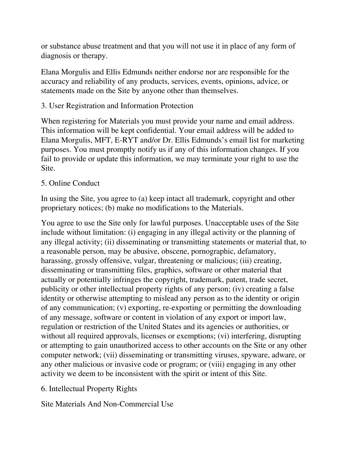or substance abuse treatment and that you will not use it in place of any form of diagnosis or therapy.

Elana Morgulis and Ellis Edmunds neither endorse nor are responsible for the accuracy and reliability of any products, services, events, opinions, advice, or statements made on the Site by anyone other than themselves.

## 3. User Registration and Information Protection

When registering for Materials you must provide your name and email address. This information will be kept confidential. Your email address will be added to Elana Morgulis, MFT, E-RYT and/or Dr. Ellis Edmunds's email list for marketing purposes. You must promptly notify us if any of this information changes. If you fail to provide or update this information, we may terminate your right to use the Site.

## 5. Online Conduct

In using the Site, you agree to (a) keep intact all trademark, copyright and other proprietary notices; (b) make no modifications to the Materials.

You agree to use the Site only for lawful purposes. Unacceptable uses of the Site include without limitation: (i) engaging in any illegal activity or the planning of any illegal activity; (ii) disseminating or transmitting statements or material that, to a reasonable person, may be abusive, obscene, pornographic, defamatory, harassing, grossly offensive, vulgar, threatening or malicious; (iii) creating, disseminating or transmitting files, graphics, software or other material that actually or potentially infringes the copyright, trademark, patent, trade secret, publicity or other intellectual property rights of any person; (iv) creating a false identity or otherwise attempting to mislead any person as to the identity or origin of any communication; (v) exporting, re-exporting or permitting the downloading of any message, software or content in violation of any export or import law, regulation or restriction of the United States and its agencies or authorities, or without all required approvals, licenses or exemptions; (vi) interfering, disrupting or attempting to gain unauthorized access to other accounts on the Site or any other computer network; (vii) disseminating or transmitting viruses, spyware, adware, or any other malicious or invasive code or program; or (viii) engaging in any other activity we deem to be inconsistent with the spirit or intent of this Site.

# 6. Intellectual Property Rights

Site Materials And Non-Commercial Use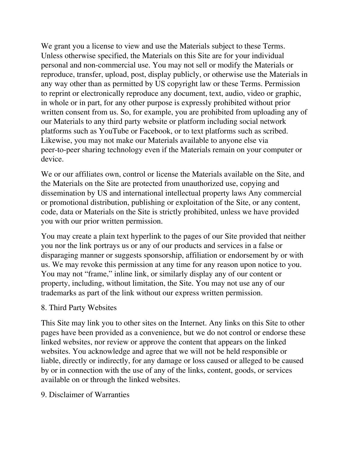We grant you a license to view and use the Materials subject to these Terms. Unless otherwise specified, the Materials on this Site are for your individual personal and non-commercial use. You may not sell or modify the Materials or reproduce, transfer, upload, post, display publicly, or otherwise use the Materials in any way other than as permitted by US copyright law or these Terms. Permission to reprint or electronically reproduce any document, text, audio, video or graphic, in whole or in part, for any other purpose is expressly prohibited without prior written consent from us. So, for example, you are prohibited from uploading any of our Materials to any third party website or platform including social network platforms such as YouTube or Facebook, or to text platforms such as scribed. Likewise, you may not make our Materials available to anyone else via peer-to-peer sharing technology even if the Materials remain on your computer or device.

We or our affiliates own, control or license the Materials available on the Site, and the Materials on the Site are protected from unauthorized use, copying and dissemination by US and international intellectual property laws Any commercial or promotional distribution, publishing or exploitation of the Site, or any content, code, data or Materials on the Site is strictly prohibited, unless we have provided you with our prior written permission.

You may create a plain text hyperlink to the pages of our Site provided that neither you nor the link portrays us or any of our products and services in a false or disparaging manner or suggests sponsorship, affiliation or endorsement by or with us. We may revoke this permission at any time for any reason upon notice to you. You may not "frame," inline link, or similarly display any of our content or property, including, without limitation, the Site. You may not use any of our trademarks as part of the link without our express written permission.

### 8. Third Party Websites

This Site may link you to other sites on the Internet. Any links on this Site to other pages have been provided as a convenience, but we do not control or endorse these linked websites, nor review or approve the content that appears on the linked websites. You acknowledge and agree that we will not be held responsible or liable, directly or indirectly, for any damage or loss caused or alleged to be caused by or in connection with the use of any of the links, content, goods, or services available on or through the linked websites.

### 9. Disclaimer of Warranties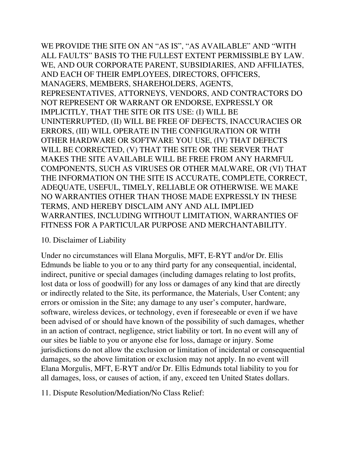WE PROVIDE THE SITE ON AN "AS IS", "AS AVAILABLE" AND "WITH ALL FAULTS" BASIS TO THE FULLEST EXTENT PERMISSIBLE BY LAW. WE, AND OUR CORPORATE PARENT, SUBSIDIARIES, AND AFFILIATES, AND EACH OF THEIR EMPLOYEES, DIRECTORS, OFFICERS, MANAGERS, MEMBERS, SHAREHOLDERS, AGENTS, REPRESENTATIVES, ATTORNEYS, VENDORS, AND CONTRACTORS DO NOT REPRESENT OR WARRANT OR ENDORSE, EXPRESSLY OR IMPLICITLY, THAT THE SITE OR ITS USE: (I) WILL BE UNINTERRUPTED, (II) WILL BE FREE OF DEFECTS, INACCURACIES OR ERRORS, (III) WILL OPERATE IN THE CONFIGURATION OR WITH OTHER HARDWARE OR SOFTWARE YOU USE, (IV) THAT DEFECTS WILL BE CORRECTED, (V) THAT THE SITE OR THE SERVER THAT MAKES THE SITE AVAILABLE WILL BE FREE FROM ANY HARMFUL COMPONENTS, SUCH AS VIRUSES OR OTHER MALWARE, OR (VI) THAT THE INFORMATION ON THE SITE IS ACCURATE, COMPLETE, CORRECT, ADEQUATE, USEFUL, TIMELY, RELIABLE OR OTHERWISE. WE MAKE NO WARRANTIES OTHER THAN THOSE MADE EXPRESSLY IN THESE TERMS, AND HEREBY DISCLAIM ANY AND ALL IMPLIED WARRANTIES, INCLUDING WITHOUT LIMITATION, WARRANTIES OF FITNESS FOR A PARTICULAR PURPOSE AND MERCHANTABILITY.

#### 10. Disclaimer of Liability

Under no circumstances will Elana Morgulis, MFT, E-RYT and/or Dr. Ellis Edmunds be liable to you or to any third party for any consequential, incidental, indirect, punitive or special damages (including damages relating to lost profits, lost data or loss of goodwill) for any loss or damages of any kind that are directly or indirectly related to the Site, its performance, the Materials, User Content; any errors or omission in the Site; any damage to any user's computer, hardware, software, wireless devices, or technology, even if foreseeable or even if we have been advised of or should have known of the possibility of such damages, whether in an action of contract, negligence, strict liability or tort. In no event will any of our sites be liable to you or anyone else for loss, damage or injury. Some jurisdictions do not allow the exclusion or limitation of incidental or consequential damages, so the above limitation or exclusion may not apply. In no event will Elana Morgulis, MFT, E-RYT and/or Dr. Ellis Edmunds total liability to you for all damages, loss, or causes of action, if any, exceed ten United States dollars.

11. Dispute Resolution/Mediation/No Class Relief: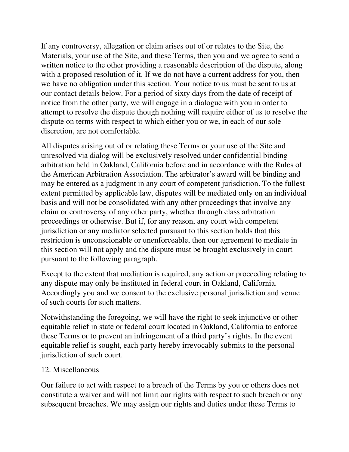If any controversy, allegation or claim arises out of or relates to the Site, the Materials, your use of the Site, and these Terms, then you and we agree to send a written notice to the other providing a reasonable description of the dispute, along with a proposed resolution of it. If we do not have a current address for you, then we have no obligation under this section. Your notice to us must be sent to us at our contact details below. For a period of sixty days from the date of receipt of notice from the other party, we will engage in a dialogue with you in order to attempt to resolve the dispute though nothing will require either of us to resolve the dispute on terms with respect to which either you or we, in each of our sole discretion, are not comfortable.

All disputes arising out of or relating these Terms or your use of the Site and unresolved via dialog will be exclusively resolved under confidential binding arbitration held in Oakland, California before and in accordance with the Rules of the American Arbitration Association. The arbitrator's award will be binding and may be entered as a judgment in any court of competent jurisdiction. To the fullest extent permitted by applicable law, disputes will be mediated only on an individual basis and will not be consolidated with any other proceedings that involve any claim or controversy of any other party, whether through class arbitration proceedings or otherwise. But if, for any reason, any court with competent jurisdiction or any mediator selected pursuant to this section holds that this restriction is unconscionable or unenforceable, then our agreement to mediate in this section will not apply and the dispute must be brought exclusively in court pursuant to the following paragraph.

Except to the extent that mediation is required, any action or proceeding relating to any dispute may only be instituted in federal court in Oakland, California. Accordingly you and we consent to the exclusive personal jurisdiction and venue of such courts for such matters.

Notwithstanding the foregoing, we will have the right to seek injunctive or other equitable relief in state or federal court located in Oakland, California to enforce these Terms or to prevent an infringement of a third party's rights. In the event equitable relief is sought, each party hereby irrevocably submits to the personal jurisdiction of such court.

# 12. Miscellaneous

Our failure to act with respect to a breach of the Terms by you or others does not constitute a waiver and will not limit our rights with respect to such breach or any subsequent breaches. We may assign our rights and duties under these Terms to